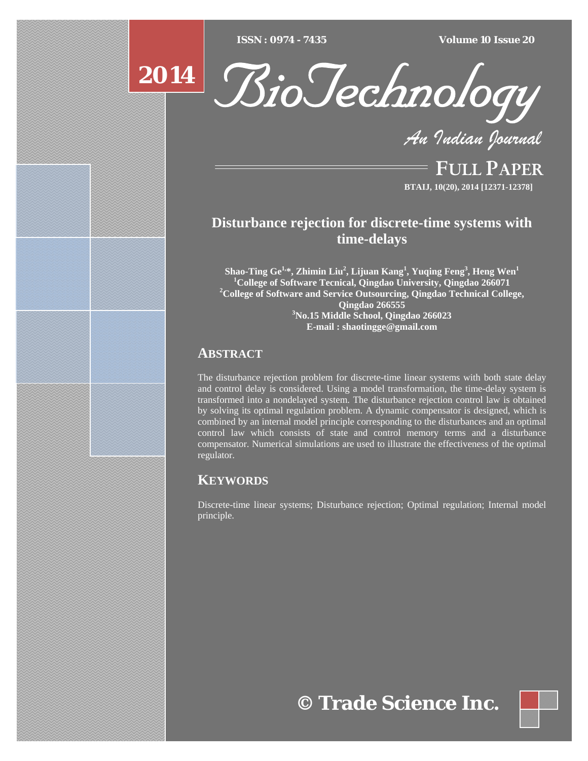$\overline{ISSN} : 0974 - 7435$ 

*ISSN : 0974 - 7435 Volume 10 Issue 20*



*An Indian Journal*

FULL PAPER **BTAIJ, 10(20), 2014 [12371-12378]**

# **Disturbance rejection for discrete-time systems with time-delays**

**Shao-Ting Ge1,\*, Zhimin Liu2 , Lijuan Kang<sup>1</sup> , Yuqing Feng3 , Heng Wen<sup>1</sup>** <sup>1</sup> **College of Software Tecnical, Qingdao University, Qingdao 266071**<br>
<sup>2</sup>
College of Software and Samice Outcoursing, Qingdae Technical Colle **College of Software and Service Outsourcing, Qingdao Technical College, Qingdao 266555 3 No.15 Middle School, Qingdao 266023 E-mail : shaotingge@gmail.com**

## **ABSTRACT**

**2014**

The disturbance rejection problem for discrete-time linear systems with both state delay and control delay is considered. Using a model transformation, the time-delay system is transformed into a nondelayed system. The disturbance rejection control law is obtained by solving its optimal regulation problem. A dynamic compensator is designed, which is combined by an internal model principle corresponding to the disturbances and an optimal control law which consists of state and control memory terms and a disturbance compensator. Numerical simulations are used to illustrate the effectiveness of the optimal regulator.

## **KEYWORDS**

Discrete-time linear systems; Disturbance rejection; Optimal regulation; Internal model principle.

**© Trade Science Inc.**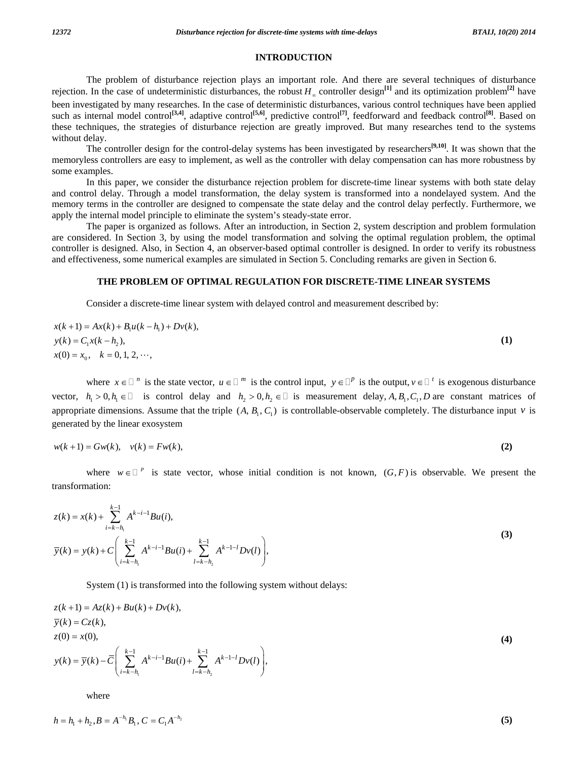#### **INTRODUCTION**

 The problem of disturbance rejection plays an important role. And there are several techniques of disturbance rejection. In the case of undeterministic disturbances, the robust  $H_{\infty}$  controller design<sup>[1]</sup> and its optimization problem<sup>[2]</sup> have been investigated by many researches. In the case of deterministic disturbances, various control techniques have been applied such as internal model control<sup>[3,4]</sup>, adaptive control<sup>[5,6]</sup>, predictive control<sup>[7]</sup>, feedforward and feedback control<sup>[8]</sup>. Based on these techniques, the strategies of disturbance rejection are greatly improved. But many researches tend to the systems without delay.

 The controller design for the control-delay systems has been investigated by researchers**[9,10]**. It was shown that the memoryless controllers are easy to implement, as well as the controller with delay compensation can has more robustness by some examples.

 In this paper, we consider the disturbance rejection problem for discrete-time linear systems with both state delay and control delay. Through a model transformation, the delay system is transformed into a nondelayed system. And the memory terms in the controller are designed to compensate the state delay and the control delay perfectly. Furthermore, we apply the internal model principle to eliminate the system's steady-state error.

 The paper is organized as follows. After an introduction, in Section 2, system description and problem formulation are considered. In Section 3, by using the model transformation and solving the optimal regulation problem, the optimal controller is designed. Also, in Section 4, an observer-based optimal controller is designed. In order to verify its robustness and effectiveness, some numerical examples are simulated in Section 5. Concluding remarks are given in Section 6.

### **THE PROBLEM OF OPTIMAL REGULATION FOR DISCRETE-TIME LINEAR SYSTEMS**

Consider a discrete-time linear system with delayed control and measurement described by:

$$
x(k+1) = Ax(k) + B_1u(k-h_1) + Dv(k),
$$
  
\n
$$
y(k) = C_1x(k-h_2),
$$
  
\n
$$
x(0) = x_0, \quad k = 0, 1, 2, \dots,
$$
\n(1)

where  $x \in \mathbb{R}^n$  is the state vector,  $u \in \mathbb{R}^m$  is the control input,  $y \in \mathbb{R}^p$  is the output,  $y \in \mathbb{R}^p$  is exogenous disturbance vector,  $h_1 > 0, h_1 \in \mathbb{D}$  is control delay and  $h_2 > 0, h_2 \in \mathbb{D}$  is measurement delay, A, B<sub>1</sub>, C<sub>1</sub>, D are constant matrices of appropriate dimensions. Assume that the triple  $(A, B_1, C_1)$  is controllable-observable completely. The disturbance input *v* is generated by the linear exosystem

$$
w(k+1) = Gw(k), \quad v(k) = Fw(k),\tag{2}
$$

where  $w \in I^P$  is state vector, whose initial condition is not known,  $(G, F)$  is observable. We present the transformation:

$$
z(k) = x(k) + \sum_{i=k-h_1}^{k-1} A^{k-i-1}Bu(i),
$$
  
\n
$$
\overline{y}(k) = y(k) + C \left( \sum_{i=k-h_1}^{k-1} A^{k-i-1}Bu(i) + \sum_{l=k-h_2}^{k-1} A^{k-l-l} Dv(l) \right),
$$
\n(3)

System (1) is transformed into the following system without delays:

$$
z(k+1) = Az(k) + Bu(k) + Dv(k),
$$
  
\n
$$
\overline{y}(k) = Cz(k),
$$
  
\n
$$
z(0) = x(0),
$$
  
\n
$$
y(k) = \overline{y}(k) - \overline{C} \left( \sum_{i=k-h_1}^{k-1} A^{k-i-1}Bu(i) + \sum_{l=k-h_2}^{k-1} A^{k-l-l} Dv(l) \right),
$$
\n(4)

where

$$
h = h_1 + h_2, B = A^{-h_1} B_1, C = C_1 A^{-h_2}
$$
\n<sup>(5)</sup>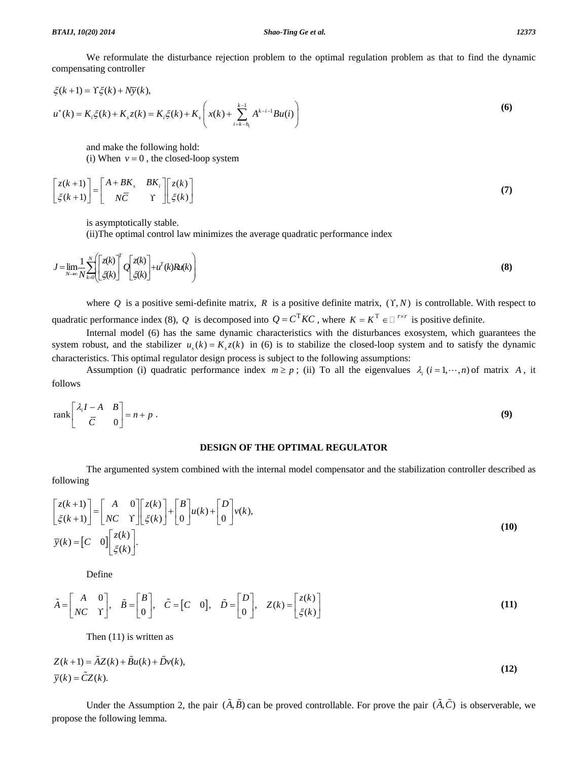We reformulate the disturbance rejection problem to the optimal regulation problem as that to find the dynamic compensating controller

$$
\xi(k+1) = Y\xi(k) + N\overline{y}(k),
$$
  
\n
$$
u^*(k) = K_i\xi(k) + K_s z(k) = K_i\xi(k) + K_s \left( x(k) + \sum_{i=k-h_i}^{k-1} A^{k-i-1}Bu(i) \right)
$$
\n(6)

 and make the following hold: (i) When  $v = 0$ , the closed-loop system

$$
\begin{bmatrix} z(k+1) \\ \zeta(k+1) \end{bmatrix} = \begin{bmatrix} A + BK_s & BK_i \\ N\overline{C} & \Upsilon \end{bmatrix} \begin{bmatrix} z(k) \\ \zeta(k) \end{bmatrix}
$$
 (7)

is asymptotically stable.

(ii)The optimal control law minimizes the average quadratic performance index

$$
J = \lim_{N \to \infty} \frac{1}{N} \sum_{k=0}^{N} \left[ \frac{z(k)}{\zeta(k)} \right]^T Q \left[ \frac{z(k)}{\zeta(k)} \right] + u^T(k) R u(k)
$$
 (8)

where  $Q$  is a positive semi-definite matrix,  $R$  is a positive definite matrix,  $(Y, N)$  is controllable. With respect to quadratic performance index (8), *Q* is decomposed into  $Q = C^{T}KC$ , where  $K = K^{T} \in \square^{r \times r}$  is positive definite.

 Internal model (6) has the same dynamic characteristics with the disturbances exosystem, which guarantees the system robust, and the stabilizer  $u_s(k) = K_s z(k)$  in (6) is to stabilize the closed-loop system and to satisfy the dynamic characteristics. This optimal regulator design process is subject to the following assumptions:

Assumption (i) quadratic performance index  $m \ge p$ ; (ii) To all the eigenvalues  $\lambda_i$  ( $i = 1, \dots, n$ ) of matrix A, it follows

$$
\operatorname{rank}\left[\begin{array}{cc} \lambda_i I - A & B \\ \overline{C} & 0 \end{array}\right] = n + p \tag{9}
$$

#### **DESIGN OF THE OPTIMAL REGULATOR**

 The argumented system combined with the internal model compensator and the stabilization controller described as following

$$
\begin{bmatrix} z(k+1) \\ \xi(k+1) \end{bmatrix} = \begin{bmatrix} A & 0 \\ NC & Y \end{bmatrix} \begin{bmatrix} z(k) \\ \xi(k) \end{bmatrix} + \begin{bmatrix} B \\ 0 \end{bmatrix} u(k) + \begin{bmatrix} D \\ 0 \end{bmatrix} v(k),
$$
  
\n
$$
\overline{y}(k) = \begin{bmatrix} C & 0 \end{bmatrix} \begin{bmatrix} z(k) \\ \xi(k) \end{bmatrix}.
$$
\n(10)

Define

$$
\tilde{A} = \begin{bmatrix} A & 0 \\ NC & \Upsilon \end{bmatrix}, \quad \tilde{B} = \begin{bmatrix} B \\ 0 \end{bmatrix}, \quad \tilde{C} = \begin{bmatrix} C & 0 \end{bmatrix}, \quad \tilde{D} = \begin{bmatrix} D \\ 0 \end{bmatrix}, \quad Z(k) = \begin{bmatrix} z(k) \\ \zeta(k) \end{bmatrix}
$$
\n(11)

Then (11) is written as

$$
Z(k+1) = \tilde{A}Z(k) + \tilde{B}u(k) + \tilde{D}v(k),
$$
  
\n
$$
\overline{y}(k) = \tilde{C}Z(k).
$$
\n(12)

Under the Assumption 2, the pair  $(\tilde{A}, \tilde{B})$  can be proved controllable. For prove the pair  $(\tilde{A}, \tilde{C})$  is observerable, we propose the following lemma.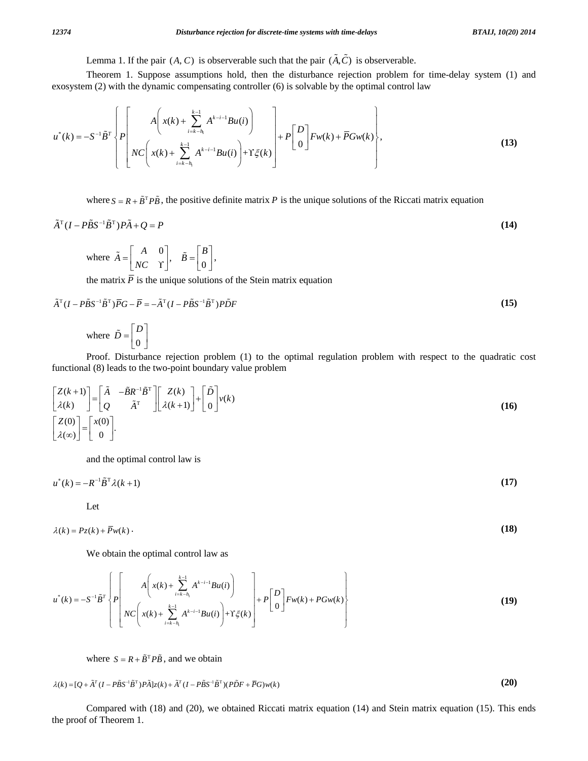Lemma 1. If the pair  $(A, C)$  is observerable such that the pair  $(\tilde{A}, \tilde{C})$  is observerable.

 Theorem 1. Suppose assumptions hold, then the disturbance rejection problem for time-delay system (1) and exosystem (2) with the dynamic compensating controller (6) is solvable by the optimal control law

$$
u^*(k) = -S^{-1}\tilde{B}^T \left\{ P \left[ \begin{array}{c} A \left( x(k) + \sum_{i=k-h_1}^{k-1} A^{k-i-1} B u(i) \right) \\ NC \left( x(k) + \sum_{i=k-h_1}^{k-1} A^{k-i-1} B u(i) \right) + Y \xi(k) \end{array} \right] + P \left[ \begin{array}{c} D \\ 0 \end{array} \right] F w(k) + \overline{P} G w(k) \right\},
$$
\n(13)

where  $S = R + \tilde{B}^T P \tilde{B}$ , the positive definite matrix *P* is the unique solutions of the Riccati matrix equation

$$
\tilde{A}^{\mathrm{T}}(I - P\tilde{B}S^{-1}\tilde{B}^{\mathrm{T}})P\tilde{A} + Q = P \tag{14}
$$

where 
$$
\tilde{A} = \begin{bmatrix} A & 0 \\ NC & Y \end{bmatrix}
$$
,  $\tilde{B} = \begin{bmatrix} B \\ 0 \end{bmatrix}$ ,

the matrix  $\overline{P}$  is the unique solutions of the Stein matrix equation

$$
\tilde{A}^{T}(I - P\tilde{B}S^{-1}\tilde{B}^{T})\overline{P}G - \overline{P} = -\tilde{A}^{T}(I - P\tilde{B}S^{-1}\tilde{B}^{T})P\tilde{D}F
$$
\n(15)

where  $\overrightarrow{D} = \begin{bmatrix} 1 \\ 0 \end{bmatrix}$  $\tilde{D} = \begin{bmatrix} D \\ 0 \end{bmatrix}$ 

 Proof. Disturbance rejection problem (1) to the optimal regulation problem with respect to the quadratic cost functional (8) leads to the two-point boundary value problem

$$
\begin{bmatrix} Z(k+1) \\ \lambda(k) \end{bmatrix} = \begin{bmatrix} \tilde{A} & -\tilde{B}R^{-1}\tilde{B}^{T} \\ Q & \tilde{A}^{T} \end{bmatrix} \begin{bmatrix} Z(k) \\ \lambda(k+1) \end{bmatrix} + \begin{bmatrix} \tilde{D} \\ 0 \end{bmatrix} v(k)
$$
\n
$$
\begin{bmatrix} Z(0) \\ \lambda(\infty) \end{bmatrix} = \begin{bmatrix} x(0) \\ 0 \end{bmatrix}.
$$
\n(16)

and the optimal control law is

 $u^*(k) = -R^{-1}\tilde{B}^T\lambda(k+1)$  (17)

Let

 $\lambda(k) = P_{\mathcal{Z}}(k) + \overline{P}_{W}(k)$  (18)

We obtain the optimal control law as

$$
u^*(k) = -S^{-1}\tilde{B}^T\left\{P\left[\begin{matrix} A\left(x(k) + \sum_{i=k-h_1}^{k-1} A^{k-i-1}Bu(i) \right) \\ NC\left(x(k) + \sum_{i=k-h_1}^{k-1} A^{k-i-1}Bu(i)\right) + \Upsilon \zeta(k) \end{matrix}\right] + P\left[\begin{matrix} D \\ 0 \end{matrix}\right] Fw(k) + PGw(k)\right\}
$$
(19)

where  $S = R + \tilde{B}^{T} P \tilde{B}$ , and we obtain

$$
\lambda(k) = [Q + \tilde{A}^T (I - P\tilde{B}S^{-1}\tilde{B}^T)P\tilde{A}]z(k) + \tilde{A}^T (I - P\tilde{B}S^{-1}\tilde{B}^T)(P\tilde{D}F + \overline{P}G)w(k)
$$
\n(20)

 Compared with (18) and (20), we obtained Riccati matrix equation (14) and Stein matrix equation (15). This ends the proof of Theorem 1.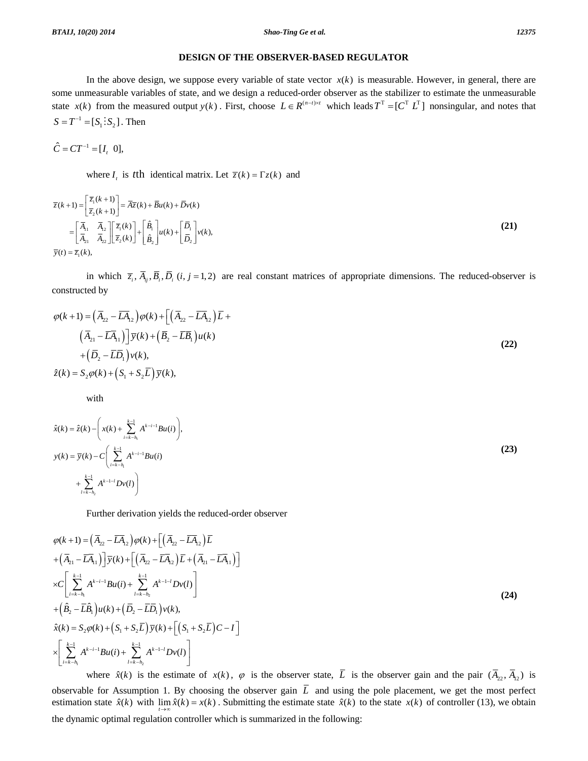### **DESIGN OF THE OBSERVER-BASED REGULATOR**

In the above design, we suppose every variable of state vector  $x(k)$  is measurable. However, in general, there are some unmeasurable variables of state, and we design a reduced-order observer as the stabilizer to estimate the unmeasurable state  $x(k)$  from the measured output  $y(k)$ . First, choose  $L \in R^{(n-1)\times t}$  which leads  $T^T = [C^T L^T]$  nonsingular, and notes that  $S = T^{-1} = [S_1 : S_2]$ . Then

$$
\hat{C} = CT^{-1} = [I_t \ 0],
$$

where *I<sub>t</sub>* is *t*th identical matrix. Let  $\overline{z}(k) = \Gamma z(k)$  and

$$
\overline{z}(k+1) = \begin{bmatrix} \overline{z}_1(k+1) \\ \overline{z}_2(k+1) \end{bmatrix} = \overline{A}\overline{z}(k) + \overline{B}u(k) + \overline{D}v(k)
$$
\n
$$
= \begin{bmatrix} \overline{A}_{11} & \overline{A}_{12} \\ \overline{A}_{21} & \overline{A}_{22} \end{bmatrix} \begin{bmatrix} \overline{z}_1(k) \\ \overline{z}_2(k) \end{bmatrix} + \begin{bmatrix} \hat{B}_1 \\ \hat{B}_2 \end{bmatrix} u(k) + \begin{bmatrix} \overline{D}_1 \\ \overline{D}_2 \end{bmatrix} v(k),
$$
\n(21)\n
$$
\overline{y}(t) = \overline{z}_1(k),
$$

in which  $\overline{z}_i$ ,  $\overline{A}_{ii}$ ,  $\overline{B}_i$ ,  $\overline{D}_i$  (*i*, *j* = 1, 2) are real constant matrices of appropriate dimensions. The reduced-observer is constructed by

$$
\varphi(k+1) = \left(\overline{A}_{22} - \overline{L}\overline{A}_{12}\right)\varphi(k) + \left[\left(\overline{A}_{22} - \overline{L}\overline{A}_{12}\right)\overline{L} + \left(\overline{A}_{21} - \overline{L}\overline{A}_{11}\right)\right]\overline{y}(k) + \left(\overline{B}_2 - \overline{L}\overline{B}_1\right)u(k) + \left(\overline{D}_2 - \overline{L}\overline{D}_1\right)v(k),
$$
\n
$$
\hat{z}(k) = S_2\varphi(k) + \left(S_1 + S_2\overline{L}\right)\overline{y}(k),
$$
\n(22)

with

$$
\hat{x}(k) = \hat{z}(k) - \left(x(k) + \sum_{i=k-h_1}^{k-1} A^{k-i-1}Bu(i)\right),
$$
  
\n
$$
y(k) = \overline{y}(k) - C \left(\sum_{i=k-h_1}^{k-1} A^{k-i-1}Bu(i)\right)
$$
  
\n
$$
+ \sum_{l=k-h_2}^{k-1} A^{k-l-l} Dv(l)\right)
$$
\n(23)

Further derivation yields the reduced-order observer

$$
\varphi(k+1) = (\bar{A}_{22} - \bar{L}A_{12})\varphi(k) + [(\bar{A}_{22} - \bar{L}A_{12})\bar{L} \n+ (\bar{A}_{21} - \bar{L}A_{11})] \bar{y}(k) + [(\bar{A}_{22} - \bar{L}A_{12})\bar{L} + (\bar{A}_{21} - \bar{L}A_{11})] \times C \Bigg[ \sum_{i=k-h_1}^{k-1} A^{k-i-1}Bu(i) + \sum_{l=k-h_2}^{k-1} A^{k-l-l}Dv(l) \Bigg] \n+ (\hat{B}_{2} - \bar{L}\hat{B}_{1})u(k) + (\bar{D}_{2} - \bar{L}\bar{D}_{1})v(k), \n\hat{x}(k) = S_{2}\varphi(k) + (S_{1} + S_{2}\bar{L})\bar{y}(k) + [(\bar{S}_{1} + S_{2}\bar{L})\bar{C} - I] \times \Bigg[ \sum_{i=k-h_1}^{k-1} A^{k-i-1}Bu(i) + \sum_{l=k-h_2}^{k-1} A^{k-l-l}Dv(l) \Bigg]
$$
\n(24)

where  $\hat{x}(k)$  is the estimate of  $x(k)$ ,  $\varphi$  is the observer state,  $\overline{L}$  is the observer gain and the pair  $(A_{22}, A_{12})$  is observable for Assumption 1. By choosing the observer gain  $\overline{L}$  and using the pole placement, we get the most perfect estimation state  $\hat{x}(k)$  with  $\lim_{t \to \infty} \hat{x}(k) = x(k)$ . Submitting the estimate state  $\hat{x}(k)$  to the state  $x(k)$  of controller (13), we obtain the dynamic optimal regulation controller which is summarized in the following: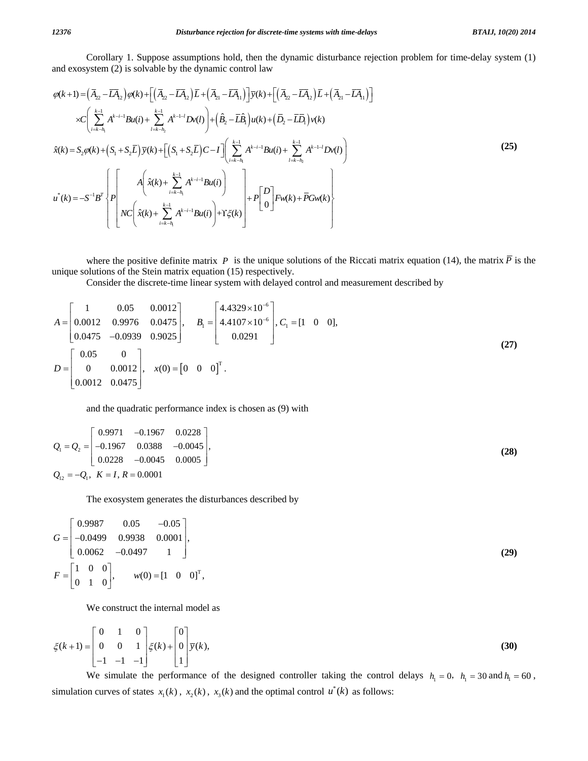Corollary 1. Suppose assumptions hold, then the dynamic disturbance rejection problem for time-delay system (1) and exosystem (2) is solvable by the dynamic control law

$$
\varphi(k+1) = (\bar{A}_{22} - \bar{L}A_{12})\varphi(k) + [(\bar{A}_{22} - \bar{L}A_{12})\bar{L} + (\bar{A}_{21} - \bar{L}A_{11})]\bar{y}(k) + [(\bar{A}_{22} - \bar{L}A_{12})\bar{L} + (\bar{A}_{21} - \bar{L}A_{11})]
$$
  
\n
$$
\times C\left(\sum_{i=k-h_1}^{k-1} A^{k-i-1}Bu(i) + \sum_{i=k-h_2}^{k-1} A^{k-1-i}Dv(i)\right) + (\hat{B}_{2} - \bar{L}\hat{B}_{1})u(k) + (\bar{D}_{2} - \bar{L}\bar{D}_{1})v(k)
$$
  
\n
$$
\hat{x}(k) = S_{2}\varphi(k) + (S_{1} + S_{2}\bar{L})\bar{y}(k) + [(S_{1} + S_{2}\bar{L})C - I] \left(\sum_{i=k-h_1}^{k-1} A^{k-i-1}Bu(i) + \sum_{i=k-h_2}^{k-1} A^{k-1-i}Dv(i)\right)
$$
  
\n
$$
u^{*}(k) = -S^{-1}B^{T}\left\{P\left[\left(A\left(\hat{x}(k) + \sum_{i=k-h_1}^{k-1} A^{k-i-1}Bu(i)\right) + P\left[D\right]Fw(k) + \bar{P}Gw(k)\right]\right\}
$$
  
\n
$$
NC\left(\hat{x}(k) + \sum_{i=k-h_1}^{k-1} A^{k-i-1}Bu(i)\right) + Y\xi(k)\right\} + P\left[D\left[D\right]Fw(k) + \bar{P}Gw(k)\right\}
$$

where the positive definite matrix *P* is the unique solutions of the Riccati matrix equation (14), the matrix  $\overline{P}$  is the unique solutions of the Stein matrix equation (15) respectively.

Consider the discrete-time linear system with delayed control and measurement described by

$$
A = \begin{bmatrix} 1 & 0.05 & 0.0012 \\ 0.0012 & 0.9976 & 0.0475 \\ 0.0475 & -0.0939 & 0.9025 \end{bmatrix}, \quad B_1 = \begin{bmatrix} 4.4329 \times 10^{-6} \\ 4.4107 \times 10^{-6} \\ 0.0291 \end{bmatrix}, C_1 = \begin{bmatrix} 1 & 0 & 0 \end{bmatrix},
$$
  
\n
$$
D = \begin{bmatrix} 0.05 & 0 \\ 0 & 0.0012 \\ 0.0012 & 0.0475 \end{bmatrix}, \quad x(0) = \begin{bmatrix} 0 & 0 & 0 \end{bmatrix}^T.
$$
 (27)

and the quadratic performance index is chosen as (9) with

$$
Q_1 = Q_2 = \begin{bmatrix} 0.9971 & -0.1967 & 0.0228 \\ -0.1967 & 0.0388 & -0.0045 \\ 0.0228 & -0.0045 & 0.0005 \end{bmatrix},
$$
\n(28)  
\n
$$
Q_{12} = -Q_1, K = I, R = 0.0001
$$

The exosystem generates the disturbances described by

$$
G = \begin{bmatrix} 0.9987 & 0.05 & -0.05 \\ -0.0499 & 0.9938 & 0.0001 \\ 0.0062 & -0.0497 & 1 \end{bmatrix},
$$
  
\n
$$
F = \begin{bmatrix} 1 & 0 & 0 \\ 0 & 1 & 0 \end{bmatrix}, \qquad w(0) = \begin{bmatrix} 1 & 0 & 0 \end{bmatrix}^T,
$$
 (29)

We construct the internal model as

$$
\xi(k+1) = \begin{bmatrix} 0 & 1 & 0 \\ 0 & 0 & 1 \\ -1 & -1 & -1 \end{bmatrix} \xi(k) + \begin{bmatrix} 0 \\ 0 \\ 1 \end{bmatrix} \overline{y}(k),
$$
\n(30)

We simulate the performance of the designed controller taking the control delays  $h_1 = 0$ ,  $h_1 = 30$  and  $h_1 = 60$ , simulation curves of states  $x_1(k)$ ,  $x_2(k)$ ,  $x_3(k)$  and the optimal control  $u^*(k)$  as follows: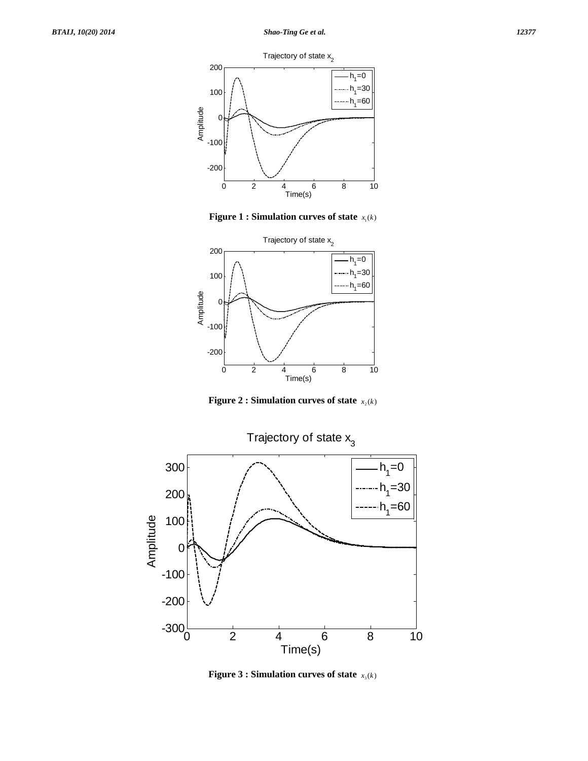Trajectory of state  $x<sub>2</sub>$ 



**Figure 1 : Simulation curves of state**  $x_1(k)$ 



**Figure 2 : Simulation curves of state**  $x_2(k)$ 



**Figure 3 : Simulation curves of state**  $x_3(k)$